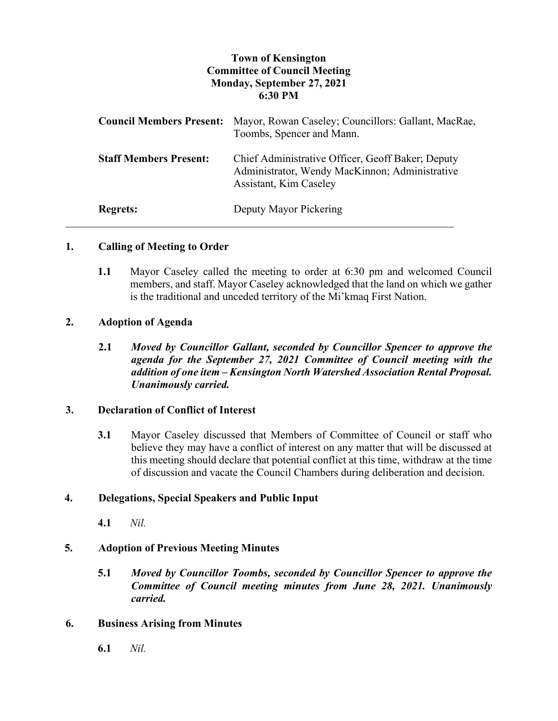# **Town of Kensington Committee of Council Meeting Monday, September 27, 2021 6:30 PM**

| <b>Council Members Present:</b> | Mayor, Rowan Caseley; Councillors: Gallant, MacRae,<br>Toombs, Spencer and Mann.                                              |
|---------------------------------|-------------------------------------------------------------------------------------------------------------------------------|
| <b>Staff Members Present:</b>   | Chief Administrative Officer, Geoff Baker; Deputy<br>Administrator, Wendy MacKinnon; Administrative<br>Assistant, Kim Caseley |
| <b>Regrets:</b>                 | Deputy Mayor Pickering                                                                                                        |

## **1. Calling of Meeting to Order**

**1.1** Mayor Caseley called the meeting to order at 6:30 pm and welcomed Council members, and staff. Mayor Caseley acknowledged that the land on which we gather is the traditional and unceded territory of the Mi'kmaq First Nation.

## **2. Adoption of Agenda**

**2.1** *Moved by Councillor Gallant, seconded by Councillor Spencer to approve the agenda for the September 27, 2021 Committee of Council meeting with the addition of one item – Kensington North Watershed Association Rental Proposal. Unanimously carried.*

## **3. Declaration of Conflict of Interest**

**3.1** Mayor Caseley discussed that Members of Committee of Council or staff who believe they may have a conflict of interest on any matter that will be discussed at this meeting should declare that potential conflict at this time, withdraw at the time of discussion and vacate the Council Chambers during deliberation and decision.

# **4. Delegations, Special Speakers and Public Input**

**4.1** *Nil.*

## **5. Adoption of Previous Meeting Minutes**

**5.1** *Moved by Councillor Toombs, seconded by Councillor Spencer to approve the Committee of Council meeting minutes from June 28, 2021. Unanimously carried.*

#### **6. Business Arising from Minutes**

**6.1** *Nil.*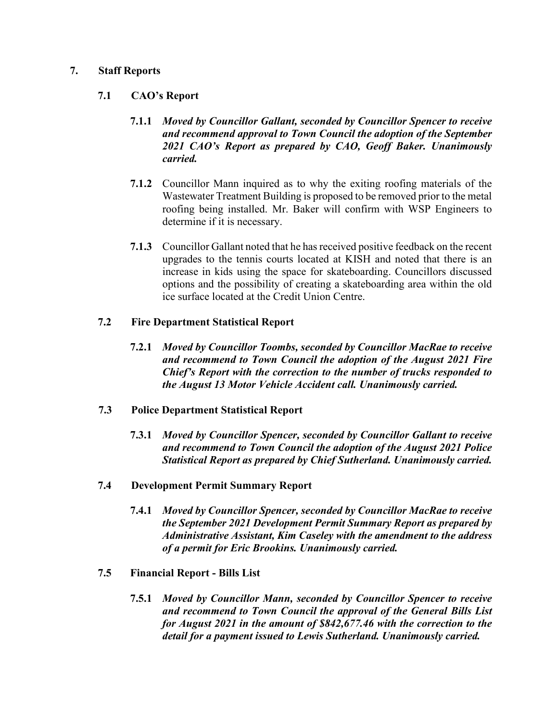## **7. Staff Reports**

## **7.1 CAO's Report**

- **7.1.1** *Moved by Councillor Gallant, seconded by Councillor Spencer to receive and recommend approval to Town Council the adoption of the September 2021 CAO's Report as prepared by CAO, Geoff Baker. Unanimously carried.*
- **7.1.2** Councillor Mann inquired as to why the exiting roofing materials of the Wastewater Treatment Building is proposed to be removed prior to the metal roofing being installed. Mr. Baker will confirm with WSP Engineers to determine if it is necessary.
- **7.1.3** Councillor Gallant noted that he has received positive feedback on the recent upgrades to the tennis courts located at KISH and noted that there is an increase in kids using the space for skateboarding. Councillors discussed options and the possibility of creating a skateboarding area within the old ice surface located at the Credit Union Centre.

## **7.2 Fire Department Statistical Report**

**7.2.1** *Moved by Councillor Toombs, seconded by Councillor MacRae to receive and recommend to Town Council the adoption of the August 2021 Fire Chief's Report with the correction to the number of trucks responded to the August 13 Motor Vehicle Accident call. Unanimously carried.*

# **7.3 Police Department Statistical Report**

- **7.3.1** *Moved by Councillor Spencer, seconded by Councillor Gallant to receive and recommend to Town Council the adoption of the August 2021 Police Statistical Report as prepared by Chief Sutherland. Unanimously carried.*
- **7.4 Development Permit Summary Report**
	- **7.4.1** *Moved by Councillor Spencer, seconded by Councillor MacRae to receive the September 2021 Development Permit Summary Report as prepared by Administrative Assistant, Kim Caseley with the amendment to the address of a permit for Eric Brookins. Unanimously carried.*
- **7.5 Financial Report - Bills List**
	- **7.5.1** *Moved by Councillor Mann, seconded by Councillor Spencer to receive and recommend to Town Council the approval of the General Bills List for August 2021 in the amount of \$842,677.46 with the correction to the detail for a payment issued to Lewis Sutherland. Unanimously carried.*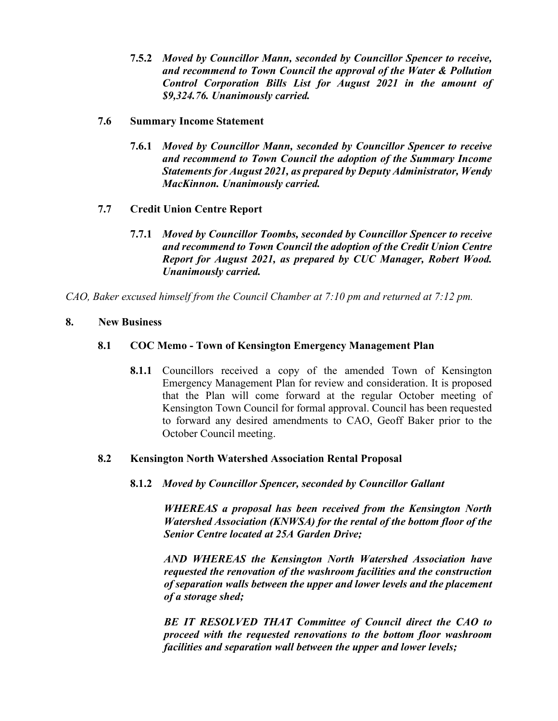- **7.5.2** *Moved by Councillor Mann, seconded by Councillor Spencer to receive, and recommend to Town Council the approval of the Water & Pollution Control Corporation Bills List for August 2021 in the amount of \$9,324.76. Unanimously carried.*
- **7.6 Summary Income Statement**
	- **7.6.1** *Moved by Councillor Mann, seconded by Councillor Spencer to receive and recommend to Town Council the adoption of the Summary Income Statements for August 2021, as prepared by Deputy Administrator, Wendy MacKinnon. Unanimously carried.*
- **7.7 Credit Union Centre Report**
	- **7.7.1** *Moved by Councillor Toombs, seconded by Councillor Spencer to receive and recommend to Town Council the adoption of the Credit Union Centre Report for August 2021, as prepared by CUC Manager, Robert Wood. Unanimously carried.*

*CAO, Baker excused himself from the Council Chamber at 7:10 pm and returned at 7:12 pm.*

## **8. New Business**

# **8.1 COC Memo - Town of Kensington Emergency Management Plan**

**8.1.1** Councillors received a copy of the amended Town of Kensington Emergency Management Plan for review and consideration. It is proposed that the Plan will come forward at the regular October meeting of Kensington Town Council for formal approval. Council has been requested to forward any desired amendments to CAO, Geoff Baker prior to the October Council meeting.

## **8.2 Kensington North Watershed Association Rental Proposal**

**8.1.2** *Moved by Councillor Spencer, seconded by Councillor Gallant*

*WHEREAS a proposal has been received from the Kensington North Watershed Association (KNWSA) for the rental of the bottom floor of the Senior Centre located at 25A Garden Drive;*

*AND WHEREAS the Kensington North Watershed Association have requested the renovation of the washroom facilities and the construction of separation walls between the upper and lower levels and the placement of a storage shed;*

*BE IT RESOLVED THAT Committee of Council direct the CAO to proceed with the requested renovations to the bottom floor washroom facilities and separation wall between the upper and lower levels;*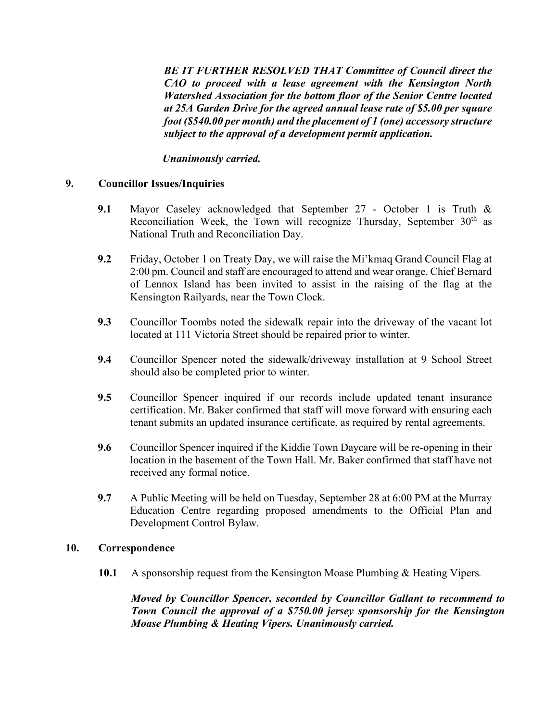*BE IT FURTHER RESOLVED THAT Committee of Council direct the CAO to proceed with a lease agreement with the Kensington North Watershed Association for the bottom floor of the Senior Centre located at 25A Garden Drive for the agreed annual lease rate of \$5.00 per square foot (\$540.00 per month) and the placement of 1 (one) accessory structure subject to the approval of a development permit application.*

*Unanimously carried.*

## **9. Councillor Issues/Inquiries**

- **9.1** Mayor Caseley acknowledged that September 27 October 1 is Truth & Reconciliation Week, the Town will recognize Thursday, September 30<sup>th</sup> as National Truth and Reconciliation Day.
- **9.2** Friday, October 1 on Treaty Day, we will raise the Mi'kmaq Grand Council Flag at 2:00 pm. Council and staff are encouraged to attend and wear orange. Chief Bernard of Lennox Island has been invited to assist in the raising of the flag at the Kensington Railyards, near the Town Clock.
- **9.3** Councillor Toombs noted the sidewalk repair into the driveway of the vacant lot located at 111 Victoria Street should be repaired prior to winter.
- **9.4** Councillor Spencer noted the sidewalk/driveway installation at 9 School Street should also be completed prior to winter.
- **9.5** Councillor Spencer inquired if our records include updated tenant insurance certification. Mr. Baker confirmed that staff will move forward with ensuring each tenant submits an updated insurance certificate, as required by rental agreements.
- **9.6** Councillor Spencer inquired if the Kiddie Town Daycare will be re-opening in their location in the basement of the Town Hall. Mr. Baker confirmed that staff have not received any formal notice.
- **9.7** A Public Meeting will be held on Tuesday, September 28 at 6:00 PM at the Murray Education Centre regarding proposed amendments to the Official Plan and Development Control Bylaw.

## **10. Correspondence**

**10.1** A sponsorship request from the Kensington Moase Plumbing & Heating Vipers*.*

*Moved by Councillor Spencer, seconded by Councillor Gallant to recommend to Town Council the approval of a \$750.00 jersey sponsorship for the Kensington Moase Plumbing & Heating Vipers. Unanimously carried.*